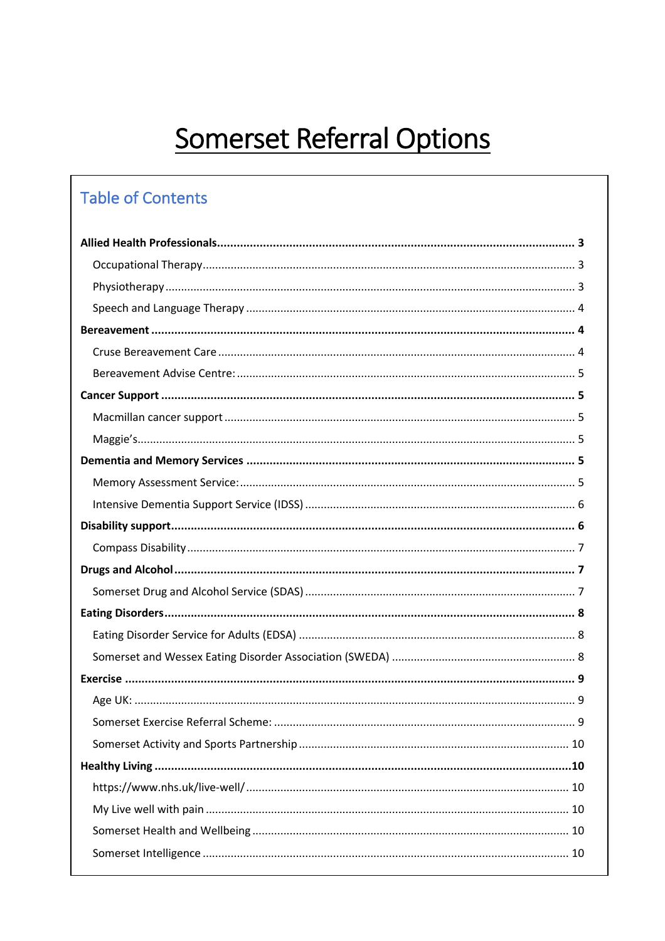# **Somerset Referral Options**

## **Table of Contents**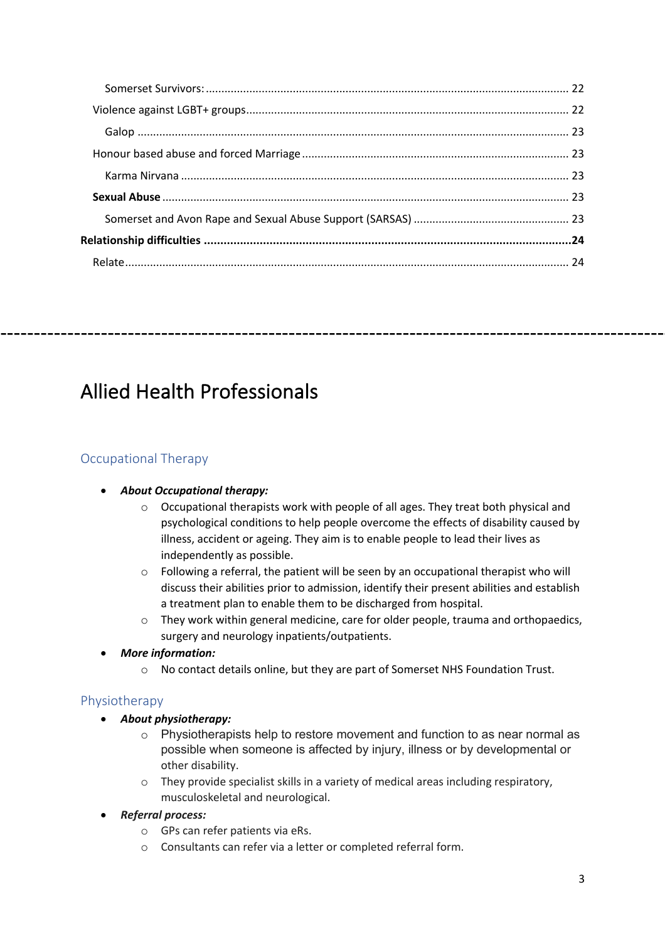------------------------

## Allied Health Professionals

## Occupational Therapy

## • *About Occupational therapy:*

- o Occupational therapists work with people of all ages. They treat both physical and psychological conditions to help people overcome the effects of disability caused by illness, accident or ageing. They aim is to enable people to lead their lives as independently as possible.
- o Following a referral, the patient will be seen by an occupational therapist who will discuss their abilities prior to admission, identify their present abilities and establish a treatment plan to enable them to be discharged from hospital.
- o They work within general medicine, care for older people, trauma and orthopaedics, surgery and neurology inpatients/outpatients.

## • *More information:*

o No contact details online, but they are part of Somerset NHS Foundation Trust.

## Physiotherapy

- *About physiotherapy:*
	- o Physiotherapists help to restore movement and function to as near normal as possible when someone is affected by injury, illness or by developmental or other disability.
	- o They provide specialist skills in a variety of medical areas including respiratory, musculoskeletal and neurological.

## • *Referral process:*

- o GPs can refer patients via eRs.
- o Consultants can refer via a letter or completed referral form.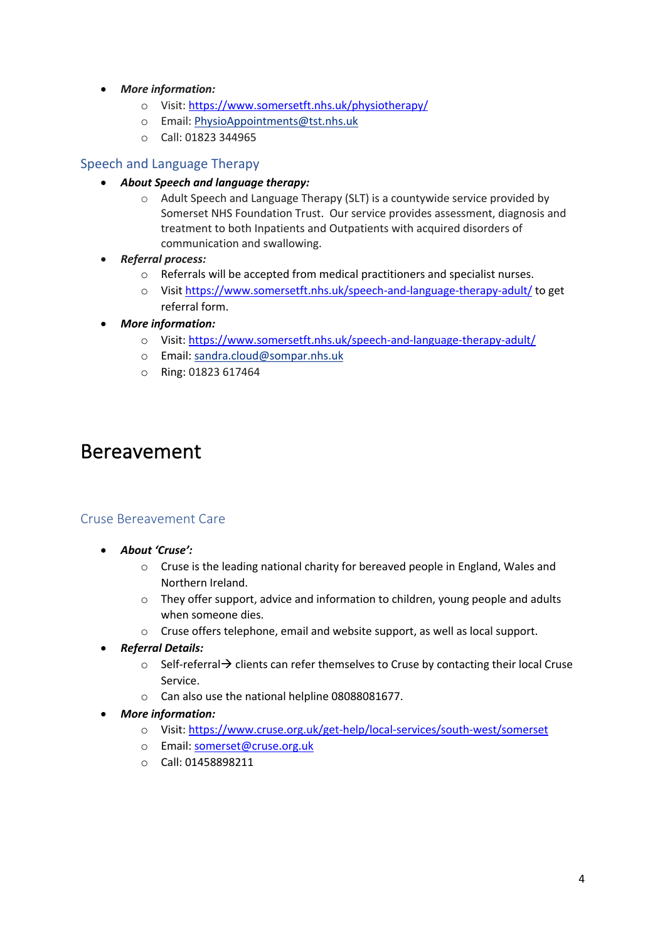- *More information:*
	- o Visit: https://www.somersetft.nhs.uk/physiotherapy/
	- o Email: PhysioAppointments@tst.nhs.uk
	- o Call: 01823 344965

### Speech and Language Therapy

- *About Speech and language therapy:*
	- o Adult Speech and Language Therapy (SLT) is a countywide service provided by Somerset NHS Foundation Trust. Our service provides assessment, diagnosis and treatment to both Inpatients and Outpatients with acquired disorders of communication and swallowing.
- *Referral process:*
	- o Referrals will be accepted from medical practitioners and specialist nurses.
	- o Visit https://www.somersetft.nhs.uk/speech-and-language-therapy-adult/ to get referral form.
- *More information:*
	- o Visit: https://www.somersetft.nhs.uk/speech-and-language-therapy-adult/
	- o Email: sandra.cloud@sompar.nhs.uk
	- o Ring: 01823 617464

## Bereavement

#### Cruse Bereavement Care

- *About 'Cruse':*
	- o Cruse is the leading national charity for bereaved people in England, Wales and Northern Ireland.
	- o They offer support, advice and information to children, young people and adults when someone dies.
	- o Cruse offers telephone, email and website support, as well as local support.
- *Referral Details:* 
	- $\circ$  Self-referral  $\rightarrow$  clients can refer themselves to Cruse by contacting their local Cruse Service.
	- o Can also use the national helpline 08088081677.
- *More information:*
	- o Visit: https://www.cruse.org.uk/get-help/local-services/south-west/somerset
	- o Email: somerset@cruse.org.uk
	- o Call: 01458898211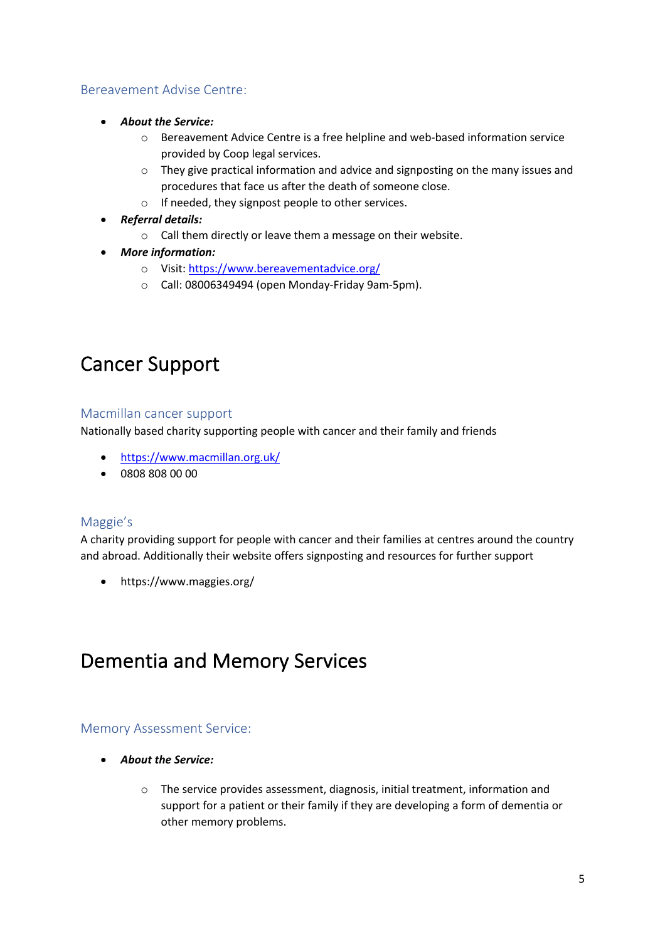## Bereavement Advise Centre:

- *About the Service:* 
	- o Bereavement Advice Centre is a free helpline and web-based information service provided by Coop legal services.
	- o They give practical information and advice and signposting on the many issues and procedures that face us after the death of someone close.
	- o If needed, they signpost people to other services.
- *Referral details:* 
	- o Call them directly or leave them a message on their website.
- *More information:*
	- o Visit: https://www.bereavementadvice.org/
	- o Call: 08006349494 (open Monday-Friday 9am-5pm).

## Cancer Support

#### Macmillan cancer support

Nationally based charity supporting people with cancer and their family and friends

- https://www.macmillan.org.uk/
- 0808 808 00 00

## Maggie's

A charity providing support for people with cancer and their families at centres around the country and abroad. Additionally their website offers signposting and resources for further support

• https://www.maggies.org/

## Dementia and Memory Services

### Memory Assessment Service:

- *About the Service:*
	- $\circ$  The service provides assessment, diagnosis, initial treatment, information and support for a patient or their family if they are developing a form of dementia or other memory problems.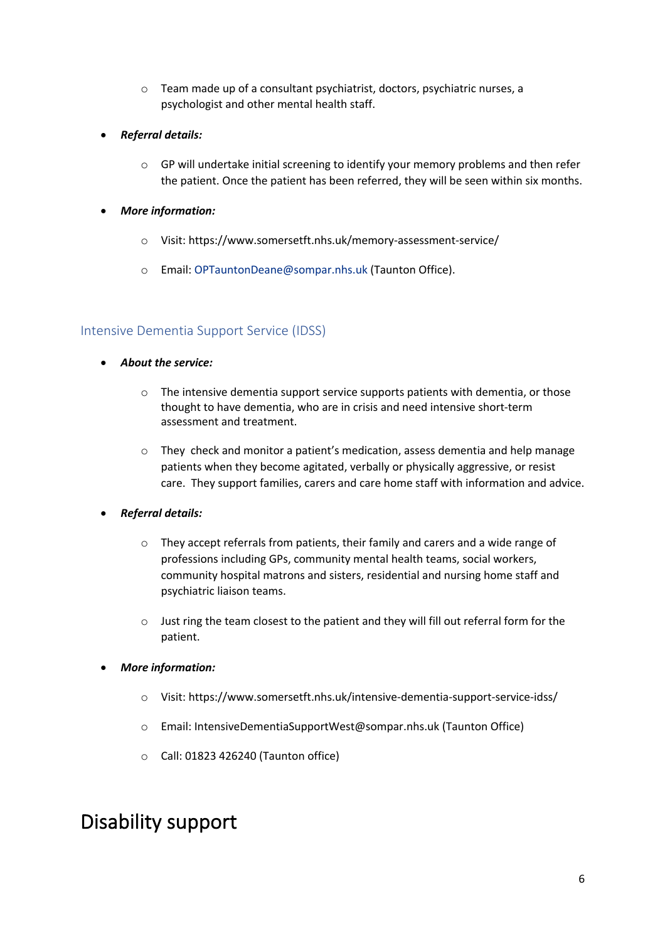- o Team made up of a consultant psychiatrist, doctors, psychiatric nurses, a psychologist and other mental health staff.
- *Referral details:*
	- $\circ$  GP will undertake initial screening to identify your memory problems and then refer the patient. Once the patient has been referred, they will be seen within six months.
- *More information:*
	- o Visit: https://www.somersetft.nhs.uk/memory-assessment-service/
	- o Email: OPTauntonDeane@sompar.nhs.uk (Taunton Office).

## Intensive Dementia Support Service (IDSS)

- *About the service:* 
	- $\circ$  The intensive dementia support service supports patients with dementia, or those thought to have dementia, who are in crisis and need intensive short-term assessment and treatment.
	- $\circ$  They check and monitor a patient's medication, assess dementia and help manage patients when they become agitated, verbally or physically aggressive, or resist care. They support families, carers and care home staff with information and advice.
- *Referral details:*
	- o They accept referrals from patients, their family and carers and a wide range of professions including GPs, community mental health teams, social workers, community hospital matrons and sisters, residential and nursing home staff and psychiatric liaison teams.
	- o Just ring the team closest to the patient and they will fill out referral form for the patient.
- *More information:*
	- o Visit: https://www.somersetft.nhs.uk/intensive-dementia-support-service-idss/
	- o Email: IntensiveDementiaSupportWest@sompar.nhs.uk (Taunton Office)
	- o Call: 01823 426240 (Taunton office)

## Disability support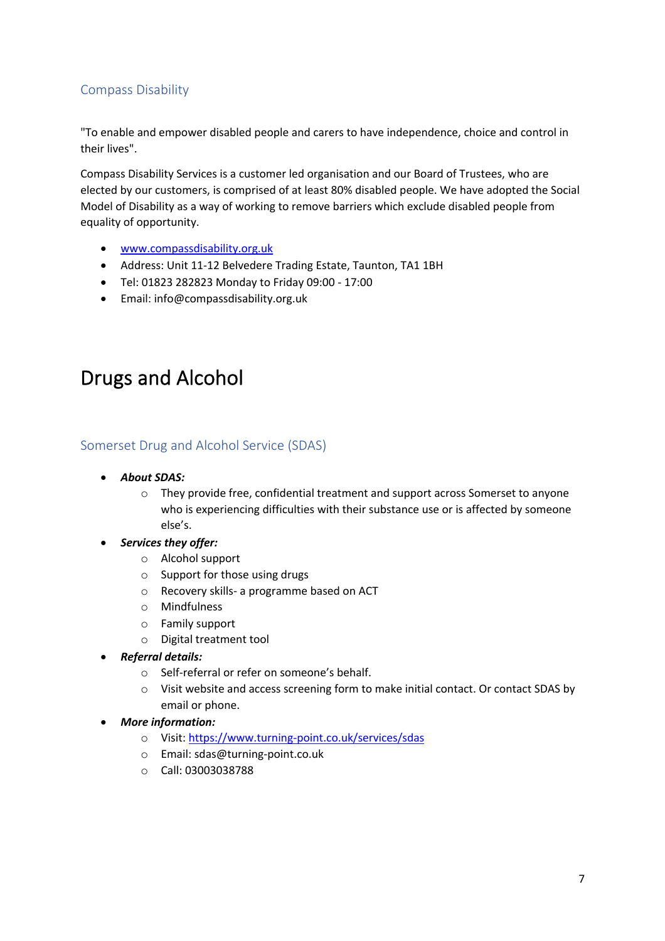## Compass Disability

"To enable and empower disabled people and carers to have independence, choice and control in their lives".

Compass Disability Services is a customer led organisation and our Board of Trustees, who are elected by our customers, is comprised of at least 80% disabled people. We have adopted the Social Model of Disability as a way of working to remove barriers which exclude disabled people from equality of opportunity.

- www.compassdisability.org.uk
- Address: Unit 11-12 Belvedere Trading Estate, Taunton, TA1 1BH
- Tel: 01823 282823 Monday to Friday 09:00 17:00
- Email: info@compassdisability.org.uk

## Drugs and Alcohol

### Somerset Drug and Alcohol Service (SDAS)

- *About SDAS:*
	- o They provide free, confidential treatment and support across Somerset to anyone who is experiencing difficulties with their substance use or is affected by someone else's.
- *Services they offer:*
	- o Alcohol support
	- o Support for those using drugs
	- o Recovery skills- a programme based on ACT
	- o Mindfulness
	- o Family support
	- o Digital treatment tool
- *Referral details:*
	- o Self-referral or refer on someone's behalf.
	- o Visit website and access screening form to make initial contact. Or contact SDAS by email or phone.
- *More information:*
	- o Visit: https://www.turning-point.co.uk/services/sdas
	- o Email: sdas@turning-point.co.uk
	- o Call: 03003038788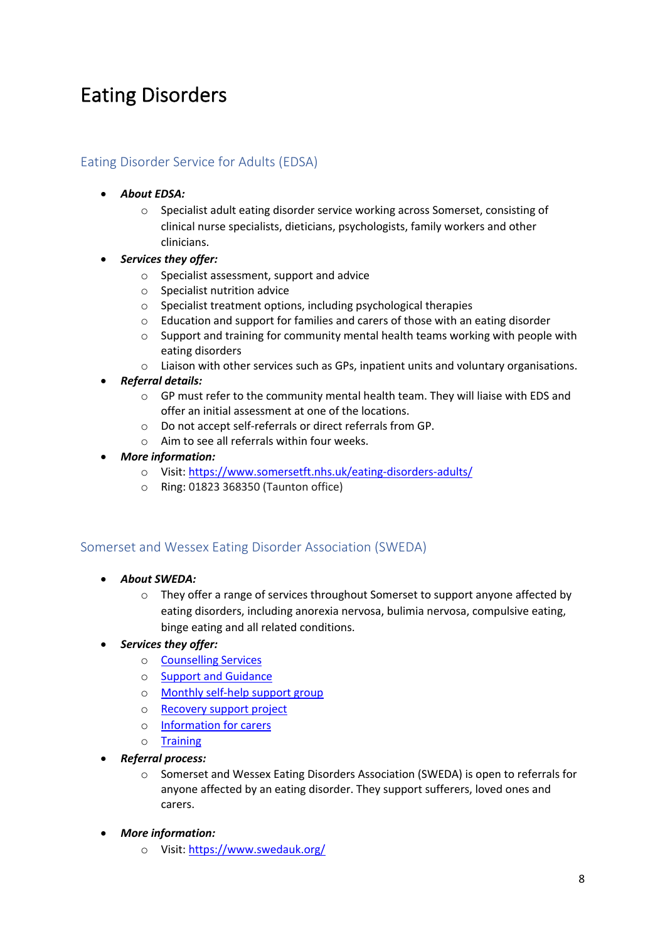## Eating Disorders

## Eating Disorder Service for Adults (EDSA)

- *About EDSA:*
	- o Specialist adult eating disorder service working across Somerset, consisting of clinical nurse specialists, dieticians, psychologists, family workers and other clinicians.
- *Services they offer:*
	- o Specialist assessment, support and advice
	- o Specialist nutrition advice
	- o Specialist treatment options, including psychological therapies
	- o Education and support for families and carers of those with an eating disorder
	- $\circ$  Support and training for community mental health teams working with people with eating disorders
	- $\circ$  Liaison with other services such as GPs, inpatient units and voluntary organisations.
- *Referral details:*
	- o GP must refer to the community mental health team. They will liaise with EDS and offer an initial assessment at one of the locations.
	- o Do not accept self-referrals or direct referrals from GP.
	- o Aim to see all referrals within four weeks.
- *More information:* 
	- o Visit: https://www.somersetft.nhs.uk/eating-disorders-adults/
	- o Ring: 01823 368350 (Taunton office)

### Somerset and Wessex Eating Disorder Association (SWEDA)

- *About SWEDA:*
	- $\circ$  They offer a range of services throughout Somerset to support anyone affected by eating disorders, including anorexia nervosa, bulimia nervosa, compulsive eating, binge eating and all related conditions.

### • *Services they offer:*

- o Counselling Services
- o Support and Guidance
- o Monthly self-help support group
- o Recovery support project
- o Information for carers
- o Training
- *Referral process:*
	- o Somerset and Wessex Eating Disorders Association (SWEDA) is open to referrals for anyone affected by an eating disorder. They support sufferers, loved ones and carers.
- *More information:*
	- o Visit: https://www.swedauk.org/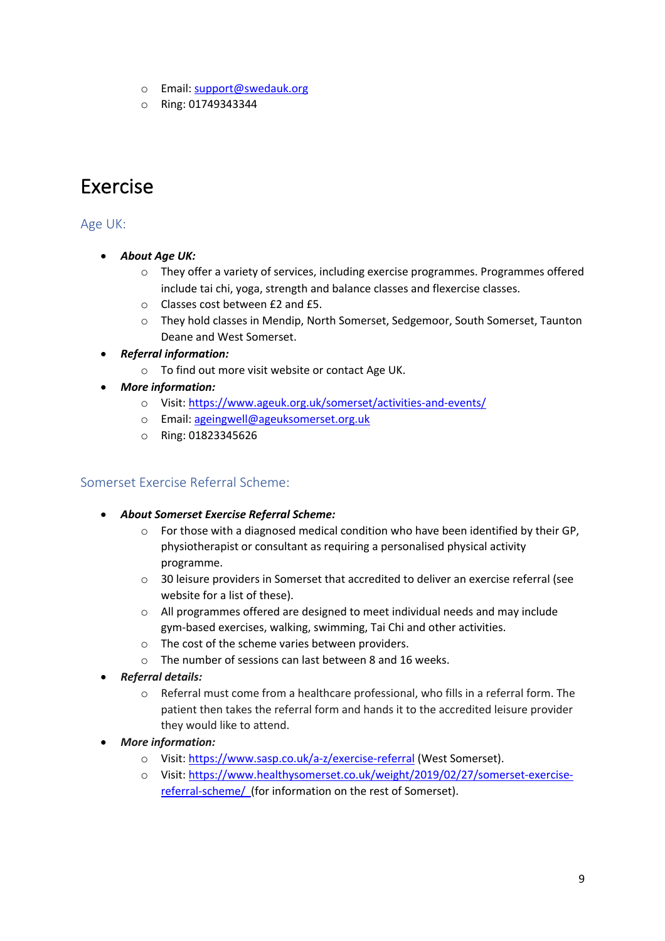- o Email: support@swedauk.org
- o Ring: 01749343344

## Exercise

## Age UK:

- *About Age UK:*
	- $\circ$  They offer a variety of services, including exercise programmes. Programmes offered include tai chi, yoga, strength and balance classes and flexercise classes.
	- o Classes cost between £2 and £5.
	- o They hold classes in Mendip, North Somerset, Sedgemoor, South Somerset, Taunton Deane and West Somerset.
- *Referral information:*
	- o To find out more visit website or contact Age UK.
- *More information:*
	- o Visit: https://www.ageuk.org.uk/somerset/activities-and-events/
	- o Email: ageingwell@ageuksomerset.org.uk
	- o Ring: 01823345626

## Somerset Exercise Referral Scheme:

- *About Somerset Exercise Referral Scheme:*
	- $\circ$  For those with a diagnosed medical condition who have been identified by their GP, physiotherapist or consultant as requiring a personalised physical activity programme.
	- o 30 leisure providers in Somerset that accredited to deliver an exercise referral (see website for a list of these).
	- o All programmes offered are designed to meet individual needs and may include gym-based exercises, walking, swimming, Tai Chi and other activities.
	- $\circ$  The cost of the scheme varies between providers.
	- o The number of sessions can last between 8 and 16 weeks.
- *Referral details:*
	- o Referral must come from a healthcare professional, who fills in a referral form. The patient then takes the referral form and hands it to the accredited leisure provider they would like to attend.
- *More information:* 
	- o Visit: https://www.sasp.co.uk/a-z/exercise-referral (West Somerset).
	- o Visit: https://www.healthysomerset.co.uk/weight/2019/02/27/somerset-exercisereferral-scheme/ (for information on the rest of Somerset).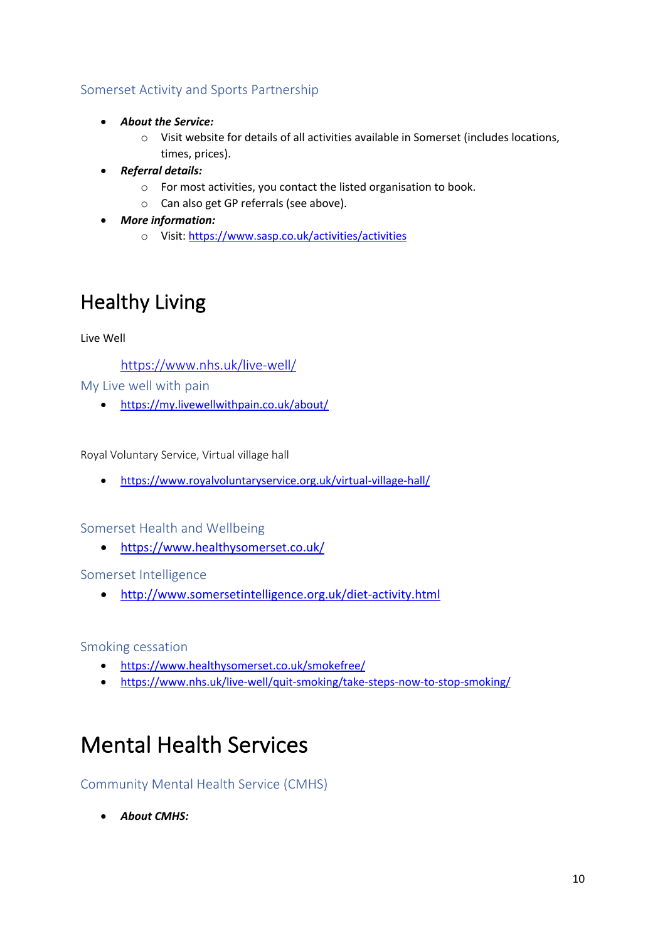## Somerset Activity and Sports Partnership

- *About the Service:*
	- o Visit website for details of all activities available in Somerset (includes locations, times, prices).
- *Referral details:* 
	- o For most activities, you contact the listed organisation to book.
	- o Can also get GP referrals (see above).
- *More information:*
	- o Visit: https://www.sasp.co.uk/activities/activities

## Healthy Living

Live Well

https://www.nhs.uk/live-well/

My Live well with pain

• https://my.livewellwithpain.co.uk/about/

Royal Voluntary Service, Virtual village hall

• https://www.royalvoluntaryservice.org.uk/virtual-village-hall/

Somerset Health and Wellbeing

• https://www.healthysomerset.co.uk/

Somerset Intelligence

• http://www.somersetintelligence.org.uk/diet-activity.html

Smoking cessation

- https://www.healthysomerset.co.uk/smokefree/
- https://www.nhs.uk/live-well/quit-smoking/take-steps-now-to-stop-smoking/

## Mental Health Services

Community Mental Health Service (CMHS)

• *About CMHS:*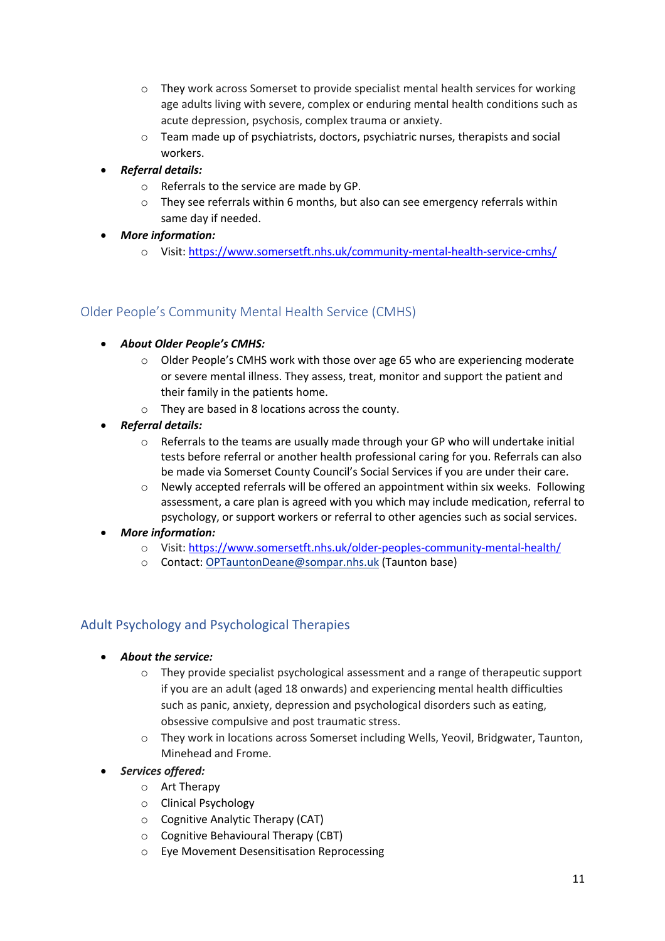- o They work across Somerset to provide specialist mental health services for working age adults living with severe, complex or enduring mental health conditions such as acute depression, psychosis, complex trauma or anxiety.
- o Team made up of psychiatrists, doctors, psychiatric nurses, therapists and social workers.

## • *Referral details:*

- o Referrals to the service are made by GP.
- $\circ$  They see referrals within 6 months, but also can see emergency referrals within same day if needed.
- *More information:*
	- o Visit: https://www.somersetft.nhs.uk/community-mental-health-service-cmhs/

## Older People's Community Mental Health Service (CMHS)

- *About Older People's CMHS:*
	- o Older People's CMHS work with those over age 65 who are experiencing moderate or severe mental illness. They assess, treat, monitor and support the patient and their family in the patients home.
	- o They are based in 8 locations across the county.
- *Referral details:*
	- $\circ$  Referrals to the teams are usually made through your GP who will undertake initial tests before referral or another health professional caring for you. Referrals can also be made via Somerset County Council's Social Services if you are under their care.
	- o Newly accepted referrals will be offered an appointment within six weeks. Following assessment, a care plan is agreed with you which may include medication, referral to psychology, or support workers or referral to other agencies such as social services.
- *More information:*
	- o Visit: https://www.somersetft.nhs.uk/older-peoples-community-mental-health/
	- o Contact: OPTauntonDeane@sompar.nhs.uk (Taunton base)

## Adult Psychology and Psychological Therapies

- *About the service:* 
	- o They provide specialist psychological assessment and a range of therapeutic support if you are an adult (aged 18 onwards) and experiencing mental health difficulties such as panic, anxiety, depression and psychological disorders such as eating, obsessive compulsive and post traumatic stress.
	- o They work in locations across Somerset including Wells, Yeovil, Bridgwater, Taunton, Minehead and Frome.
- *Services offered:* 
	- o Art Therapy
	- o Clinical Psychology
	- o Cognitive Analytic Therapy (CAT)
	- o Cognitive Behavioural Therapy (CBT)
	- o Eye Movement Desensitisation Reprocessing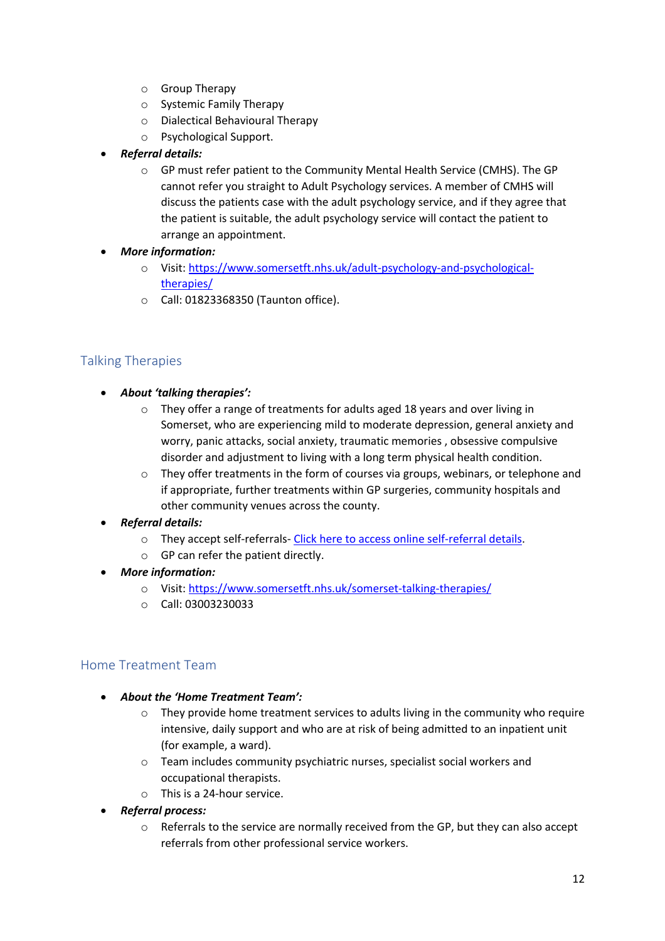- o Group Therapy
- o Systemic Family Therapy
- o Dialectical Behavioural Therapy
- o Psychological Support.
- *Referral details:*
	- o GP must refer patient to the Community Mental Health Service (CMHS). The GP cannot refer you straight to Adult Psychology services. A member of CMHS will discuss the patients case with the adult psychology service, and if they agree that the patient is suitable, the adult psychology service will contact the patient to arrange an appointment.
- *More information:*
	- o Visit: https://www.somersetft.nhs.uk/adult-psychology-and-psychologicaltherapies/
	- o Call: 01823368350 (Taunton office).

## Talking Therapies

- *About 'talking therapies':*
	- o They offer a range of treatments for adults aged 18 years and over living in Somerset, who are experiencing mild to moderate depression, general anxiety and worry, panic attacks, social anxiety, traumatic memories , obsessive compulsive disorder and adjustment to living with a long term physical health condition.
	- $\circ$  They offer treatments in the form of courses via groups, webinars, or telephone and if appropriate, further treatments within GP surgeries, community hospitals and other community venues across the county.
- *Referral details:*
	- o They accept self-referrals- Click here to access online self-referral details.
	- o GP can refer the patient directly.
- *More information:*
	- o Visit: https://www.somersetft.nhs.uk/somerset-talking-therapies/
	- o Call: 03003230033

## Home Treatment Team

- *About the 'Home Treatment Team':*
	- $\circ$  They provide home treatment services to adults living in the community who require intensive, daily support and who are at risk of being admitted to an inpatient unit (for example, a ward).
	- o Team includes community psychiatric nurses, specialist social workers and occupational therapists.
	- o This is a 24-hour service.
- *Referral process:*
	- $\circ$  Referrals to the service are normally received from the GP, but they can also accept referrals from other professional service workers.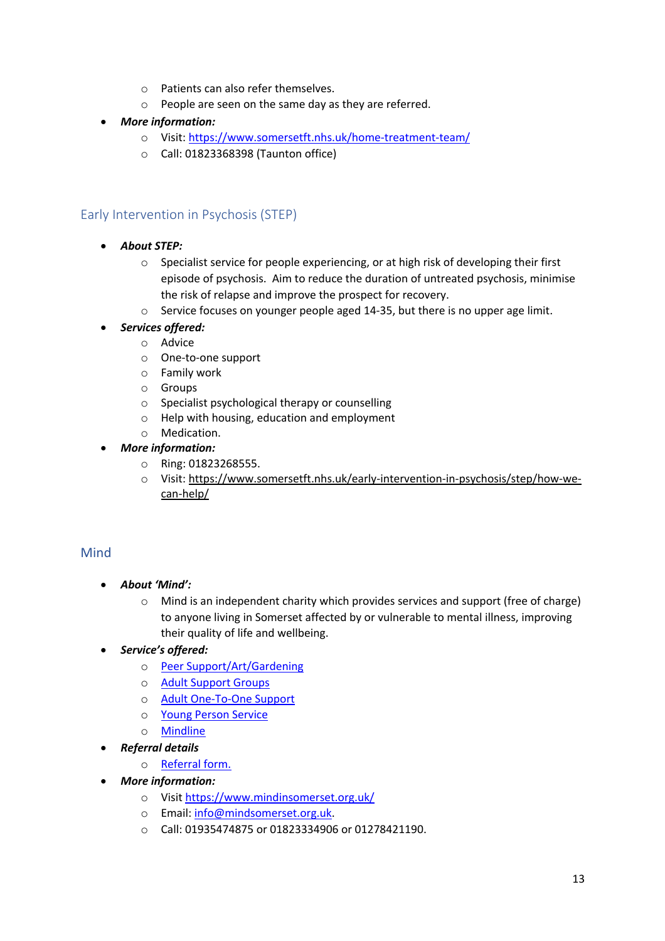- o Patients can also refer themselves.
- o People are seen on the same day as they are referred.
- *More information:*
	- o Visit: https://www.somersetft.nhs.uk/home-treatment-team/
	- o Call: 01823368398 (Taunton office)

## Early Intervention in Psychosis (STEP)

- *About STEP:*
	- o Specialist service for people experiencing, or at high risk of developing their first episode of psychosis. Aim to reduce the duration of untreated psychosis, minimise the risk of relapse and improve the prospect for recovery.
	- o Service focuses on younger people aged 14-35, but there is no upper age limit.
	- *Services offered:*
		- o Advice
			- o One-to-one support
			- o Family work
			- o Groups
			- o Specialist psychological therapy or counselling
			- o Help with housing, education and employment
		- o Medication.

### • *More information:*

- o Ring: 01823268555.
- o Visit: https://www.somersetft.nhs.uk/early-intervention-in-psychosis/step/how-wecan-help/

## Mind

- *About 'Mind':*
	- $\circ$  Mind is an independent charity which provides services and support (free of charge) to anyone living in Somerset affected by or vulnerable to mental illness, improving their quality of life and wellbeing.
- *Service's offered:*
	- o Peer Support/Art/Gardening
	- o Adult Support Groups
	- o Adult One-To-One Support
	- o Young Person Service
	- o Mindline
- *Referral details* 
	- o Referral form.
- *More information:*
	- o Visit https://www.mindinsomerset.org.uk/
	- o Email: info@mindsomerset.org.uk.
	- o Call: 01935474875 or 01823334906 or 01278421190.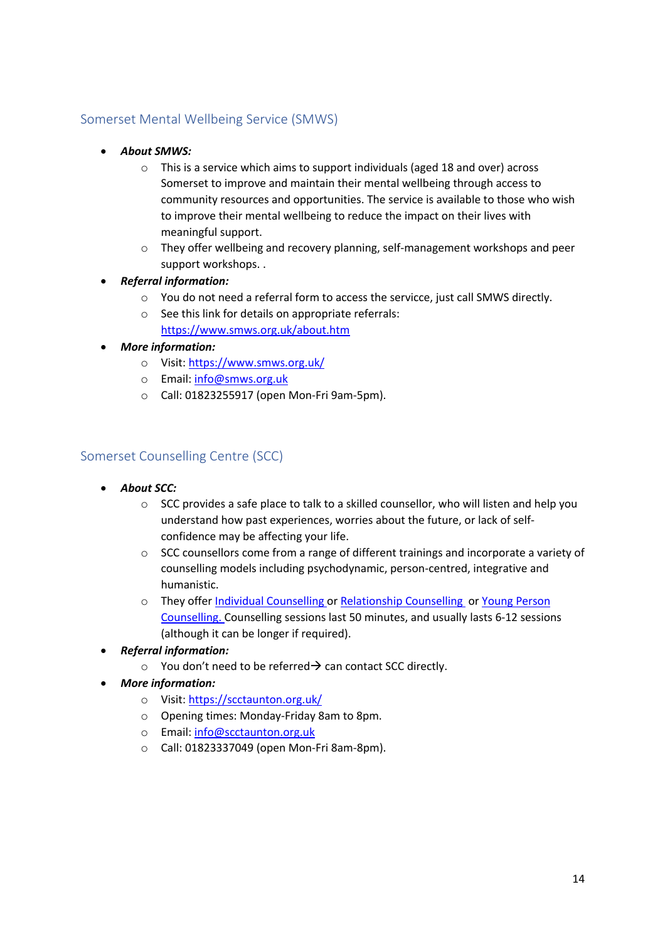## Somerset Mental Wellbeing Service (SMWS)

- *About SMWS:*
	- o This is a service which aims to support individuals (aged 18 and over) across Somerset to improve and maintain their mental wellbeing through access to community resources and opportunities. The service is available to those who wish to improve their mental wellbeing to reduce the impact on their lives with meaningful support.
	- o They offer wellbeing and recovery planning, self-management workshops and peer support workshops. .
- *Referral information:*
	- o You do not need a referral form to access the servicce, just call SMWS directly.
	- o See this link for details on appropriate referrals: https://www.smws.org.uk/about.htm
- *More information:*
	- o Visit: https://www.smws.org.uk/
	- o Email: info@smws.org.uk
	- o Call: 01823255917 (open Mon-Fri 9am-5pm).

### Somerset Counselling Centre (SCC)

- *About SCC:*
	- $\circ$  SCC provides a safe place to talk to a skilled counsellor, who will listen and help you understand how past experiences, worries about the future, or lack of selfconfidence may be affecting your life.
	- o SCC counsellors come from a range of different trainings and incorporate a variety of counselling models including psychodynamic, person-centred, integrative and humanistic.
	- o They offer Individual Counselling or Relationship Counselling or Young Person Counselling. Counselling sessions last 50 minutes, and usually lasts 6-12 sessions (although it can be longer if required).
- *Referral information:*
	- $\circ$  You don't need to be referred  $\rightarrow$  can contact SCC directly.
- *More information:*
	- o Visit: https://scctaunton.org.uk/
	- o Opening times: Monday-Friday 8am to 8pm.
	- o Email: info@scctaunton.org.uk
	- o Call: 01823337049 (open Mon-Fri 8am-8pm).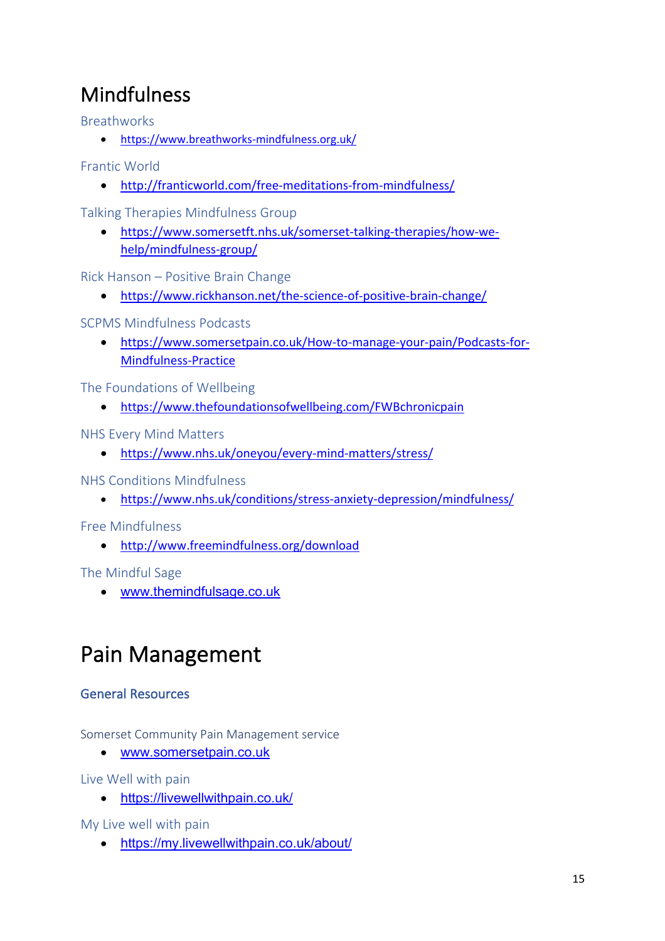## Mindfulness

**Breathworks** 

• https://www.breathworks-mindfulness.org.uk/

Frantic World

• http://franticworld.com/free-meditations-from-mindfulness/

Talking Therapies Mindfulness Group

• https://www.somersetft.nhs.uk/somerset-talking-therapies/how-wehelp/mindfulness-group/

Rick Hanson – Positive Brain Change

• https://www.rickhanson.net/the-science-of-positive-brain-change/

SCPMS Mindfulness Podcasts

• https://www.somersetpain.co.uk/How-to-manage-your-pain/Podcasts-for-Mindfulness-Practice

The Foundations of Wellbeing

• https://www.thefoundationsofwellbeing.com/FWBchronicpain

NHS Every Mind Matters

• https://www.nhs.uk/oneyou/every-mind-matters/stress/

NHS Conditions Mindfulness

• https://www.nhs.uk/conditions/stress-anxiety-depression/mindfulness/

Free Mindfulness

• http://www.freemindfulness.org/download

The Mindful Sage

• www.themindfulsage.co.uk

## Pain Management

## General Resources

Somerset Community Pain Management service

• www.somersetpain.co.uk

Live Well with pain

• https://livewellwithpain.co.uk/

My Live well with pain

• https://my.livewellwithpain.co.uk/about/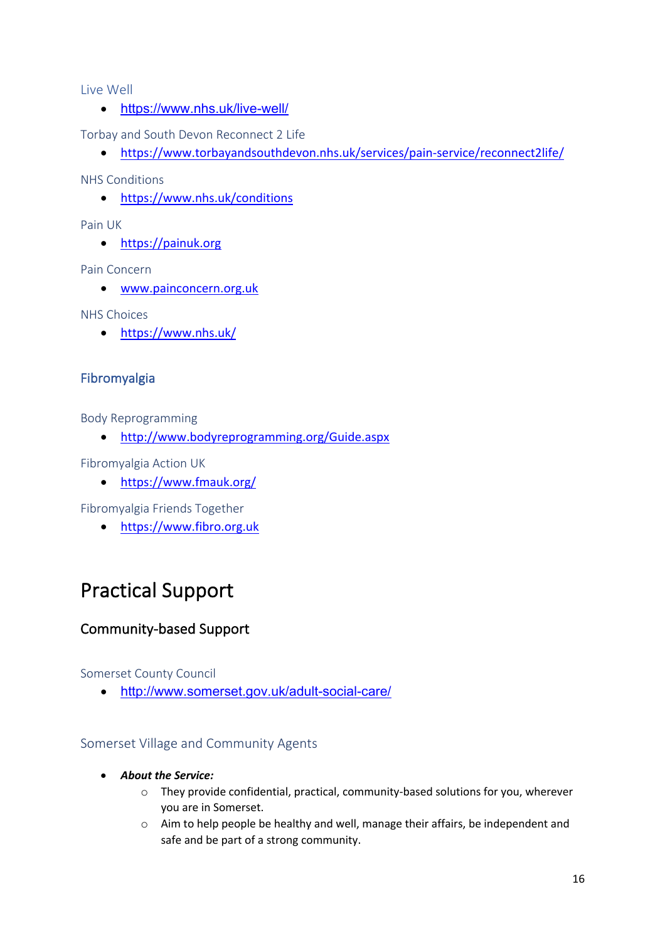Live Well

• https://www.nhs.uk/live-well/

Torbay and South Devon Reconnect 2 Life

• https://www.torbayandsouthdevon.nhs.uk/services/pain-service/reconnect2life/

NHS Conditions

• https://www.nhs.uk/conditions

Pain UK

• https://painuk.org

Pain Concern

• www.painconcern.org.uk

NHS Choices

• https://www.nhs.uk/

## Fibromyalgia

Body Reprogramming

• http://www.bodyreprogramming.org/Guide.aspx

Fibromyalgia Action UK

• https://www.fmauk.org/

Fibromyalgia Friends Together

• https://www.fibro.org.uk

## Practical Support

## Community-based Support

Somerset County Council

• http://www.somerset.gov.uk/adult-social-care/

## Somerset Village and Community Agents

- *About the Service:*
	- o They provide confidential, practical, community-based solutions for you, wherever you are in Somerset.
	- $\circ$  Aim to help people be healthy and well, manage their affairs, be independent and safe and be part of a strong community.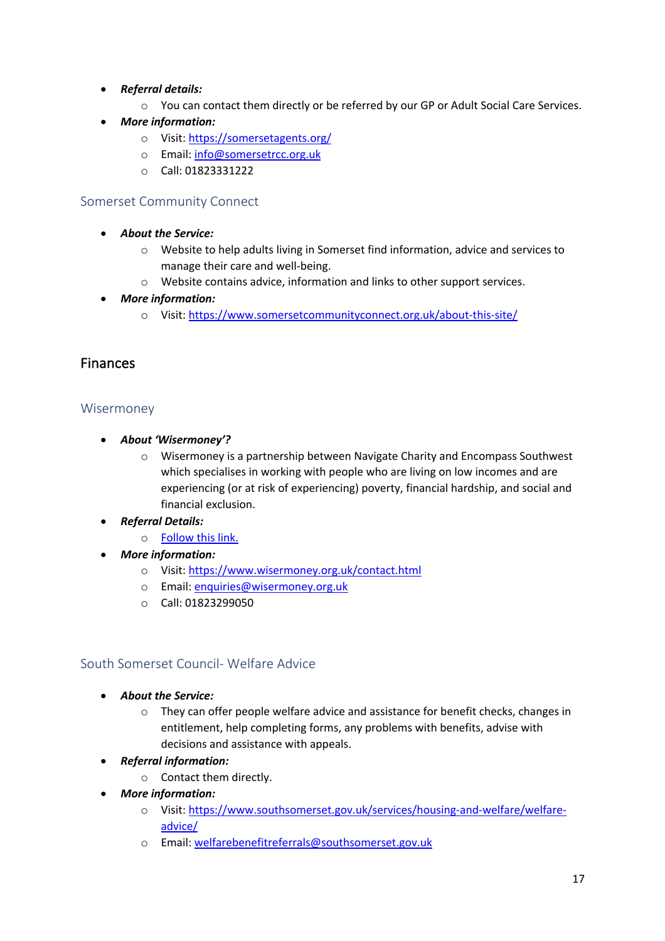- *Referral details:*
	- o You can contact them directly or be referred by our GP or Adult Social Care Services.
- *More information:*
	- o Visit: https://somersetagents.org/
	- o Email: info@somersetrcc.org.uk
	- o Call: 01823331222

### Somerset Community Connect

- *About the Service:*
	- o Website to help adults living in Somerset find information, advice and services to manage their care and well-being.
	- o Website contains advice, information and links to other support services.
- *More information:*
	- o Visit: https://www.somersetcommunityconnect.org.uk/about-this-site/

## Finances

### Wisermoney

- *About 'Wisermoney'?*
	- o Wisermoney is a partnership between Navigate Charity and Encompass Southwest which specialises in working with people who are living on low incomes and are experiencing (or at risk of experiencing) poverty, financial hardship, and social and financial exclusion.
- *Referral Details:*
	- o Follow this link.
- *More information:*
	- o Visit: https://www.wisermoney.org.uk/contact.html
	- o Email: enquiries@wisermoney.org.uk
	- o Call: 01823299050

## South Somerset Council- Welfare Advice

- *About the Service:*
	- $\circ$  They can offer people welfare advice and assistance for benefit checks, changes in entitlement, help completing forms, any problems with benefits, advise with decisions and assistance with appeals.
- *Referral information:*
	- o Contact them directly.
- *More information:* 
	- o Visit: https://www.southsomerset.gov.uk/services/housing-and-welfare/welfareadvice/
	- o Email: welfarebenefitreferrals@southsomerset.gov.uk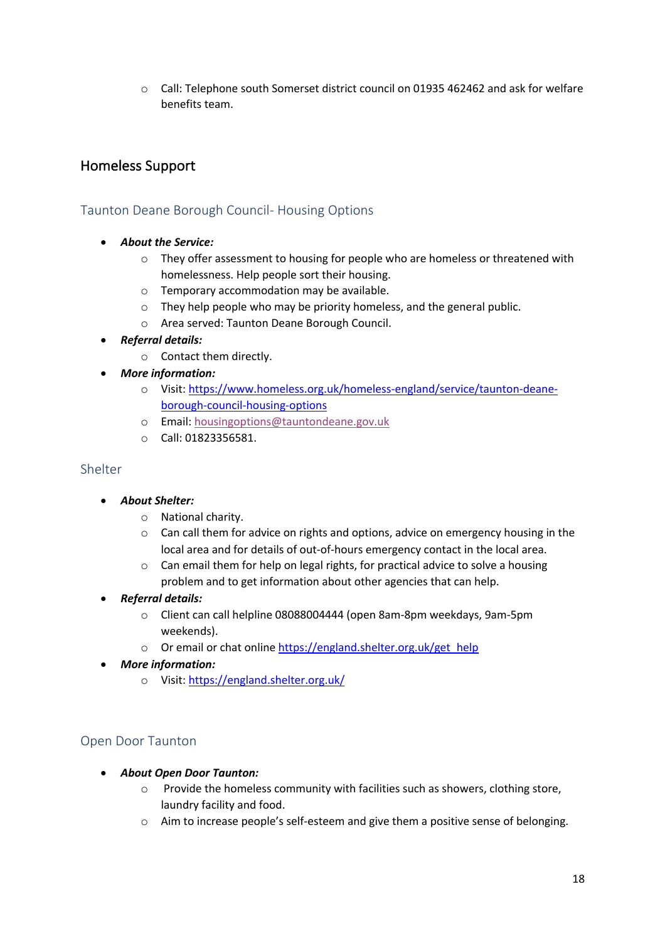o Call: Telephone south Somerset district council on 01935 462462 and ask for welfare benefits team.

## Homeless Support

## Taunton Deane Borough Council- Housing Options

- *About the Service:* 
	- o They offer assessment to housing for people who are homeless or threatened with homelessness. Help people sort their housing.
	- o Temporary accommodation may be available.
	- o They help people who may be priority homeless, and the general public.
	- o Area served: Taunton Deane Borough Council.
- *Referral details:* 
	- o Contact them directly.
- *More information:*
	- o Visit: https://www.homeless.org.uk/homeless-england/service/taunton-deaneborough-council-housing-options
	- o Email: housingoptions@tauntondeane.gov.uk
	- o Call: 01823356581.

#### Shelter

- *About Shelter:*
	- o National charity.
	- $\circ$  Can call them for advice on rights and options, advice on emergency housing in the local area and for details of out-of-hours emergency contact in the local area.
	- o Can email them for help on legal rights, for practical advice to solve a housing problem and to get information about other agencies that can help.
- *Referral details:*
	- o Client can call helpline 08088004444 (open 8am-8pm weekdays, 9am-5pm weekends).
	- o Or email or chat online https://england.shelter.org.uk/get\_help
- *More information:*
	- o Visit: https://england.shelter.org.uk/

## Open Door Taunton

- *About Open Door Taunton:*
	- o Provide the homeless community with facilities such as showers, clothing store, laundry facility and food.
	- o Aim to increase people's self-esteem and give them a positive sense of belonging.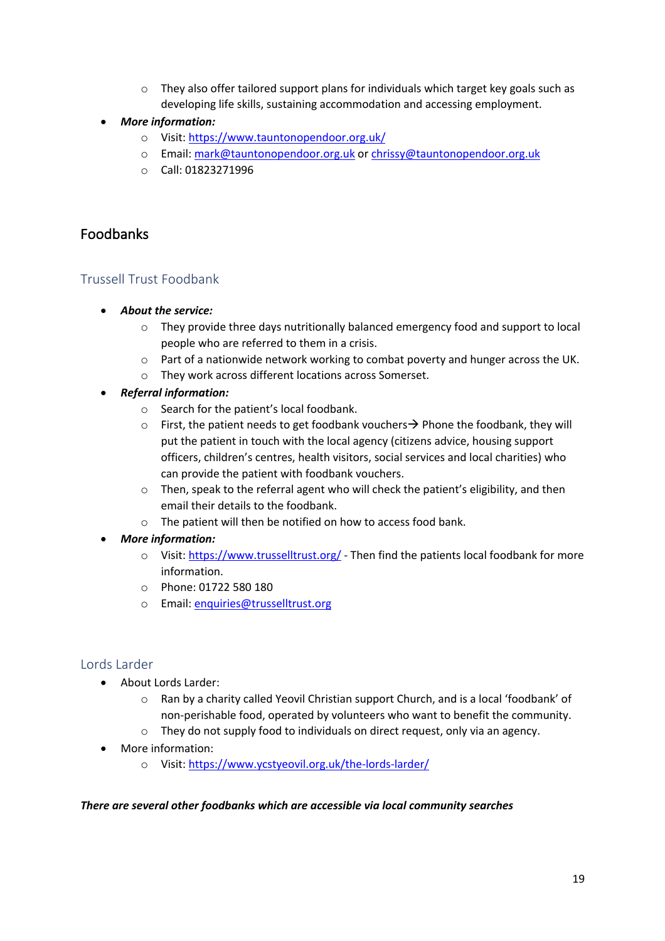- $\circ$  They also offer tailored support plans for individuals which target key goals such as developing life skills, sustaining accommodation and accessing employment.
- *More information:* 
	- o Visit: https://www.tauntonopendoor.org.uk/
	- o Email: mark@tauntonopendoor.org.uk or chrissy@tauntonopendoor.org.uk
	- o Call: 01823271996

## Foodbanks

## Trussell Trust Foodbank

- *About the service:*
	- $\circ$  They provide three days nutritionally balanced emergency food and support to local people who are referred to them in a crisis.
	- o Part of a nationwide network working to combat poverty and hunger across the UK.
	- o They work across different locations across Somerset.
- *Referral information:*
	- o Search for the patient's local foodbank.
	- $\circ$  First, the patient needs to get foodbank vouchers  $\rightarrow$  Phone the foodbank, they will put the patient in touch with the local agency (citizens advice, housing support officers, children's centres, health visitors, social services and local charities) who can provide the patient with foodbank vouchers.
	- $\circ$  Then, speak to the referral agent who will check the patient's eligibility, and then email their details to the foodbank.
	- o The patient will then be notified on how to access food bank.
- *More information:* 
	- o Visit: https://www.trusselltrust.org/ Then find the patients local foodbank for more information.
	- o Phone: 01722 580 180
	- o Email: enquiries@trusselltrust.org

## Lords Larder

- About Lords Larder:
	- o Ran by a charity called Yeovil Christian support Church, and is a local 'foodbank' of non-perishable food, operated by volunteers who want to benefit the community.
	- o They do not supply food to individuals on direct request, only via an agency.
- More information:
	- o Visit: https://www.ycstyeovil.org.uk/the-lords-larder/

### *There are several other foodbanks which are accessible via local community searches*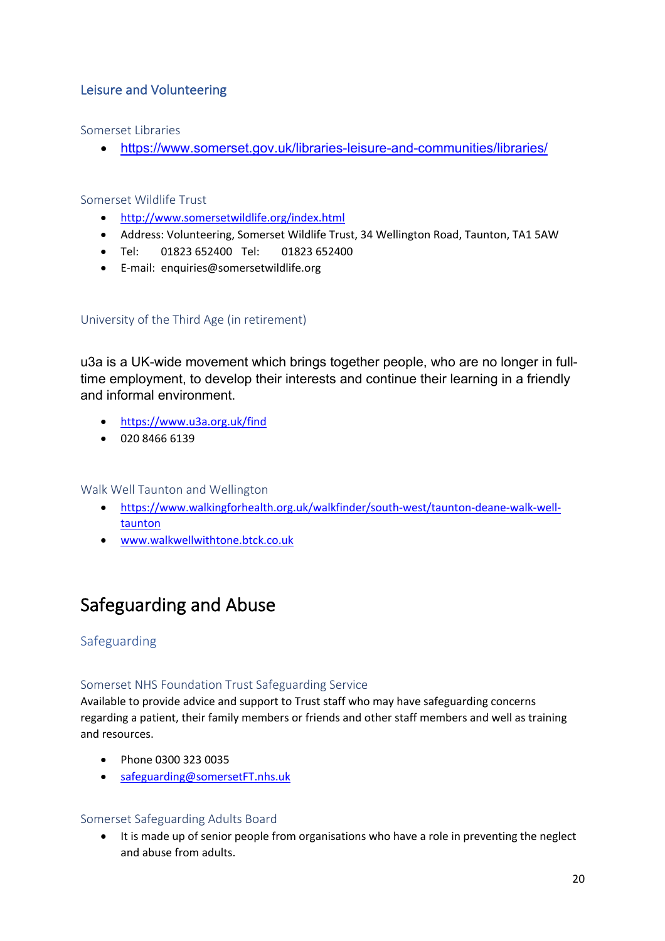## Leisure and Volunteering

Somerset Libraries

• https://www.somerset.gov.uk/libraries-leisure-and-communities/libraries/

Somerset Wildlife Trust

- http://www.somersetwildlife.org/index.html
- Address: Volunteering, Somerset Wildlife Trust, 34 Wellington Road, Taunton, TA1 5AW
- Tel: 01823 652400 Tel: 01823 652400
- E-mail: enquiries@somersetwildlife.org

## University of the Third Age (in retirement)

u3a is a UK-wide movement which brings together people, who are no longer in fulltime employment, to develop their interests and continue their learning in a friendly and informal environment.

- https://www.u3a.org.uk/find
- 020 8466 6139

Walk Well Taunton and Wellington

- https://www.walkingforhealth.org.uk/walkfinder/south-west/taunton-deane-walk-welltaunton
- www.walkwellwithtone.btck.co.uk

## Safeguarding and Abuse

## Safeguarding

### Somerset NHS Foundation Trust Safeguarding Service

Available to provide advice and support to Trust staff who may have safeguarding concerns regarding a patient, their family members or friends and other staff members and well as training and resources.

- Phone 0300 323 0035
- safeguarding@somersetFT.nhs.uk

### Somerset Safeguarding Adults Board

• It is made up of senior people from organisations who have a role in preventing the neglect and abuse from adults.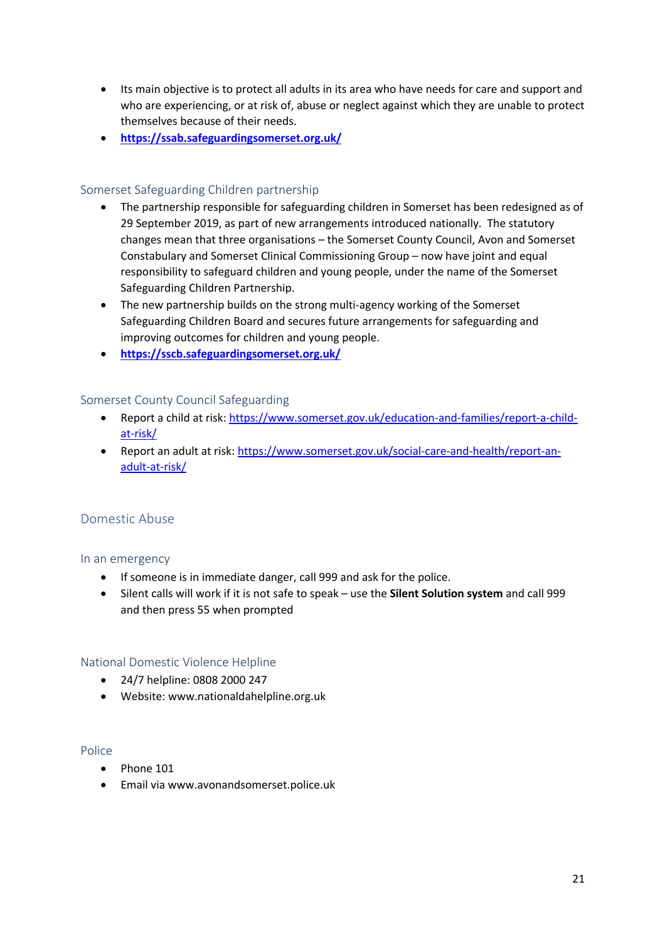- Its main objective is to protect all adults in its area who have needs for care and support and who are experiencing, or at risk of, abuse or neglect against which they are unable to protect themselves because of their needs.
- **https://ssab.safeguardingsomerset.org.uk/**

### Somerset Safeguarding Children partnership

- The partnership responsible for safeguarding children in Somerset has been redesigned as of 29 September 2019, as part of new arrangements introduced nationally. The statutory changes mean that three organisations – the Somerset County Council, Avon and Somerset Constabulary and Somerset Clinical Commissioning Group – now have joint and equal responsibility to safeguard children and young people, under the name of the Somerset Safeguarding Children Partnership.
- The new partnership builds on the strong multi-agency working of the Somerset Safeguarding Children Board and secures future arrangements for safeguarding and improving outcomes for children and young people.
- **https://sscb.safeguardingsomerset.org.uk/**

#### Somerset County Council Safeguarding

- Report a child at risk: https://www.somerset.gov.uk/education-and-families/report-a-childat-risk/
- Report an adult at risk: https://www.somerset.gov.uk/social-care-and-health/report-anadult-at-risk/

### Domestic Abuse

#### In an emergency

- If someone is in immediate danger, call 999 and ask for the police.
- Silent calls will work if it is not safe to speak use the **Silent Solution system** and call 999 and then press 55 when prompted

#### National Domestic Violence Helpline

- 24/7 helpline: 0808 2000 247
- Website: www.nationaldahelpline.org.uk

#### Police

- Phone 101
- Email via www.avonandsomerset.police.uk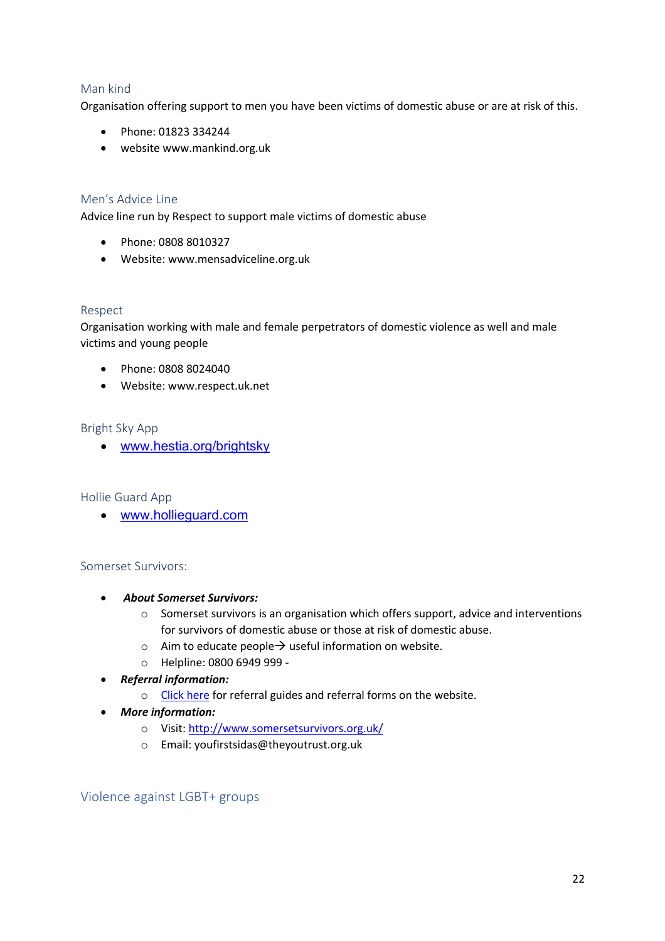### Man kind

Organisation offering support to men you have been victims of domestic abuse or are at risk of this.

- Phone: 01823 334244
- website www.mankind.org.uk

### Men's Advice Line

Advice line run by Respect to support male victims of domestic abuse

- Phone: 0808 8010327
- Website: www.mensadviceline.org.uk

#### Respect

Organisation working with male and female perpetrators of domestic violence as well and male victims and young people

- Phone: 0808 8024040
- Website: www.respect.uk.net

### Bright Sky App

• www.hestia.org/brightsky

#### Hollie Guard App

• www.hollieguard.com

#### Somerset Survivors:

- *About Somerset Survivors:*
	- $\circ$  Somerset survivors is an organisation which offers support, advice and interventions for survivors of domestic abuse or those at risk of domestic abuse.
	- $\circ$  Aim to educate people $\rightarrow$  useful information on website.
	- o Helpline: 0800 6949 999 -
- *Referral information:*
	- o Click here for referral guides and referral forms on the website.
- *More information:*
	- o Visit: http://www.somersetsurvivors.org.uk/
	- o Email: youfirstsidas@theyoutrust.org.uk

Violence against LGBT+ groups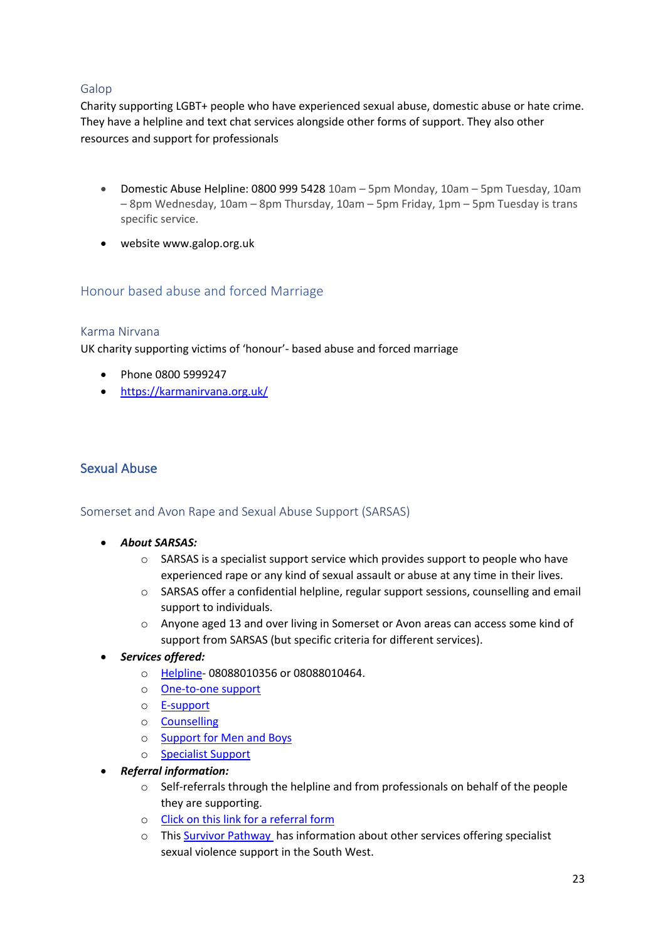### Galop

Charity supporting LGBT+ people who have experienced sexual abuse, domestic abuse or hate crime. They have a helpline and text chat services alongside other forms of support. They also other resources and support for professionals

- Domestic Abuse Helpline: 0800 999 5428 10am 5pm Monday, 10am 5pm Tuesday, 10am – 8pm Wednesday, 10am – 8pm Thursday, 10am – 5pm Friday, 1pm – 5pm Tuesday is trans specific service.
- website www.galop.org.uk

## Honour based abuse and forced Marriage

### Karma Nirvana

UK charity supporting victims of 'honour'- based abuse and forced marriage

- Phone 0800 5999247
- https://karmanirvana.org.uk/

## Sexual Abuse

### Somerset and Avon Rape and Sexual Abuse Support (SARSAS)

- *About SARSAS:*
	- o SARSAS is a specialist support service which provides support to people who have experienced rape or any kind of sexual assault or abuse at any time in their lives.
	- o SARSAS offer a confidential helpline, regular support sessions, counselling and email support to individuals.
	- o Anyone aged 13 and over living in Somerset or Avon areas can access some kind of support from SARSAS (but specific criteria for different services).
- *Services offered:*
	- o Helpline- 08088010356 or 08088010464.
	- o One-to-one support
	- o E-support
	- o Counselling
	- o Support for Men and Boys
	- o Specialist Support
- *Referral information:*
	- o Self-referrals through the helpline and from professionals on behalf of the people they are supporting.
	- o Click on this link for a referral form
	- o This Survivor Pathway has information about other services offering specialist sexual violence support in the South West.